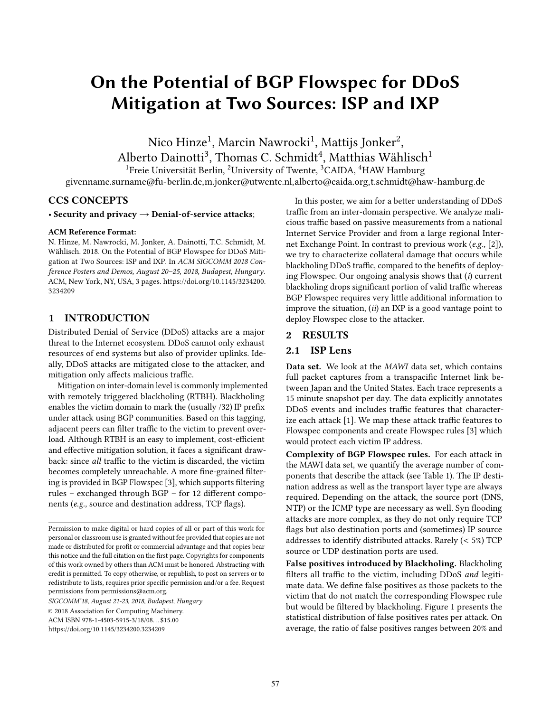# On the Potential of BGP Flowspec for DDoS Mitigation at Two Sources: ISP and IXP

Nico Hinze<sup>1</sup>, Marcin Nawrocki<sup>1</sup>, Mattijs Jonker<sup>2</sup>, Alberto Dainotti $^3$ , Thomas C. Schmidt $^4$ , Matthias Wählisch $^1$ 

<sup>1</sup>Freie Universität Berlin, <sup>2</sup>University of Twente, <sup>3</sup>CAIDA, <sup>4</sup>HAW Hamburg

givenname.surname@fu-berlin.de,m.jonker@utwente.nl,alberto@caida.org,t.schmidt@haw-hamburg.de

## CCS CONCEPTS

• Security and privacy  $\rightarrow$  Denial-of-service attacks;

#### ACM Reference Format:

N. Hinze, M. Nawrocki, M. Jonker, A. Dainotti, T.C. Schmidt, M. Wählisch. 2018. On the Potential of BGP Flowspec for DDoS Mitigation at Two Sources: ISP and IXP. In ACM SIGCOMM 2018 Conference Posters and Demos, August 20–25, 2018, Budapest, Hungary. ACM, New York, NY, USA, [3](#page-2-0) pages. [https://doi.org/10.1145/3234200.](https://doi.org/10.1145/3234200.3234209) [3234209](https://doi.org/10.1145/3234200.3234209)

## 1 INTRODUCTION

Distributed Denial of Service (DDoS) attacks are a major threat to the Internet ecosystem. DDoS cannot only exhaust resources of end systems but also of provider uplinks. Ideally, DDoS attacks are mitigated close to the attacker, and mitigation only affects malicious traffic.

Mitigation on inter-domain level is commonly implemented with remotely triggered blackholing (RTBH). Blackholing enables the victim domain to mark the (usually /32) IP prefix under attack using BGP communities. Based on this tagging, adjacent peers can filter traffic to the victim to prevent overload. Although RTBH is an easy to implement, cost-efficient and effective mitigation solution, it faces a significant drawback: since all traffic to the victim is discarded, the victim becomes completely unreachable. A more fine-grained filtering is provided in BGP Flowspec [\[3\]](#page-2-1), which supports filtering rules – exchanged through BGP – for 12 different components (e.g., source and destination address, TCP flags).

SIGCOMM'18, August 21-23, 2018, Budapest, Hungary

In this poster, we aim for a better understanding of DDoS traffic from an inter-domain perspective. We analyze malicious traffic based on passive measurements from a national Internet Service Provider and from a large regional Internet Exchange Point. In contrast to previous work (e.g., [\[2\]](#page-2-2)), we try to characterize collateral damage that occurs while blackholing DDoS traffic, compared to the benefits of deploying Flowspec. Our ongoing analysis shows that  $(i)$  current blackholing drops significant portion of valid traffic whereas BGP Flowspec requires very little additional information to improve the situation,  $(ii)$  an IXP is a good vantage point to deploy Flowspec close to the attacker.

#### 2 RESULTS

# 2.1 ISP Lens

Data set. We look at the MAWI data set, which contains full packet captures from a transpacific Internet link between Japan and the United States. Each trace represents a 15 minute snapshot per day. The data explicitly annotates DDoS events and includes traffic features that characterize each attack [\[1\]](#page-2-3). We map these attack traffic features to Flowspec components and create Flowspec rules [\[3\]](#page-2-1) which would protect each victim IP address.

Complexity of BGP Flowspec rules. For each attack in the MAWI data set, we quantify the average number of components that describe the attack (see Table [1\)](#page-1-0). The IP destination address as well as the transport layer type are always required. Depending on the attack, the source port (DNS, NTP) or the ICMP type are necessary as well. Syn flooding attacks are more complex, as they do not only require TCP flags but also destination ports and (sometimes) IP source addresses to identify distributed attacks. Rarely (< 5%) TCP source or UDP destination ports are used.

False positives introduced by Blackholing. Blackholing filters all traffic to the victim, including DDoS and legitimate data. We define false positives as those packets to the victim that do not match the corresponding Flowspec rule but would be filtered by blackholing. Figure [1](#page-1-1) presents the statistical distribution of false positives rates per attack. On average, the ratio of false positives ranges between 20% and

Permission to make digital or hard copies of all or part of this work for personal or classroom use is granted without fee provided that copies are not made or distributed for profit or commercial advantage and that copies bear this notice and the full citation on the first page. Copyrights for components of this work owned by others than ACM must be honored. Abstracting with credit is permitted. To copy otherwise, or republish, to post on servers or to redistribute to lists, requires prior specific permission and/or a fee. Request permissions from permissions@acm.org.

<sup>©</sup> 2018 Association for Computing Machinery.

ACM ISBN 978-1-4503-5915-3/18/08. . . \$15.00

<https://doi.org/10.1145/3234200.3234209>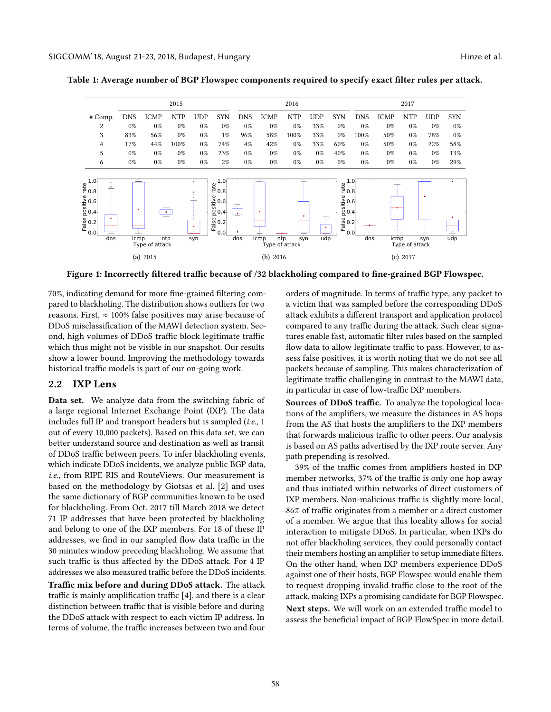<span id="page-1-1"></span>

<span id="page-1-0"></span>Table 1: Average number of BGP Flowspec components required to specify exact filter rules per attack.

Figure 1: Incorrectly filtered traffic because of /32 blackholing compared to fine-grained BGP Flowspec.

70%, indicating demand for more fine-grained filtering compared to blackholing. The distribution shows outliers for two reasons. First,  $\approx 100\%$  false positives may arise because of DDoS misclassification of the MAWI detection system. Second, high volumes of DDoS traffic block legitimate traffic which thus might not be visible in our snapshot. Our results show a lower bound. Improving the methodology towards historical traffic models is part of our on-going work.

### 2.2 IXP Lens

Data set. We analyze data from the switching fabric of a large regional Internet Exchange Point (IXP). The data includes full IP and transport headers but is sampled (i.e., 1 out of every 10,000 packets). Based on this data set, we can better understand source and destination as well as transit of DDoS traffic between peers. To infer blackholing events, which indicate DDoS incidents, we analyze public BGP data, i.e., from RIPE RIS and RouteViews. Our measurement is based on the methodology by Giotsas et al. [\[2\]](#page-2-2) and uses the same dictionary of BGP communities known to be used for blackholing. From Oct. 2017 till March 2018 we detect 71 IP addresses that have been protected by blackholing and belong to one of the IXP members. For 18 of these IP addresses, we find in our sampled flow data traffic in the 30 minutes window preceding blackholing. We assume that such traffic is thus affected by the DDoS attack. For 4 IP addresses we also measured traffic before the DDoS incidents.

Traffic mix before and during DDoS attack. The attack traffic is mainly amplification traffic [\[4\]](#page-2-4), and there is a clear distinction between traffic that is visible before and during the DDoS attack with respect to each victim IP address. In terms of volume, the traffic increases between two and four

orders of magnitude. In terms of traffic type, any packet to a victim that was sampled before the corresponding DDoS attack exhibits a different transport and application protocol compared to any traffic during the attack. Such clear signatures enable fast, automatic filter rules based on the sampled flow data to allow legitimate traffic to pass. However, to assess false positives, it is worth noting that we do not see all packets because of sampling. This makes characterization of legitimate traffic challenging in contrast to the MAWI data, in particular in case of low-traffic IXP members.

Sources of DDoS traffic. To analyze the topological locations of the amplifiers, we measure the distances in AS hops from the AS that hosts the amplifiers to the IXP members that forwards malicious traffic to other peers. Our analysis is based on AS paths advertised by the IXP route server. Any path prepending is resolved.

39% of the traffic comes from amplifiers hosted in IXP member networks, 37% of the traffic is only one hop away and thus initiated within networks of direct customers of IXP members. Non-malicious traffic is slightly more local, 86% of traffic originates from a member or a direct customer of a member. We argue that this locality allows for social interaction to mitigate DDoS. In particular, when IXPs do not offer blackholing services, they could personally contact their members hosting an amplifier to setup immediate filters. On the other hand, when IXP members experience DDoS against one of their hosts, BGP Flowspec would enable them to request dropping invalid traffic close to the root of the attack, making IXPs a promising candidate for BGP Flowspec. Next steps. We will work on an extended traffic model to assess the beneficial impact of BGP FlowSpec in more detail.